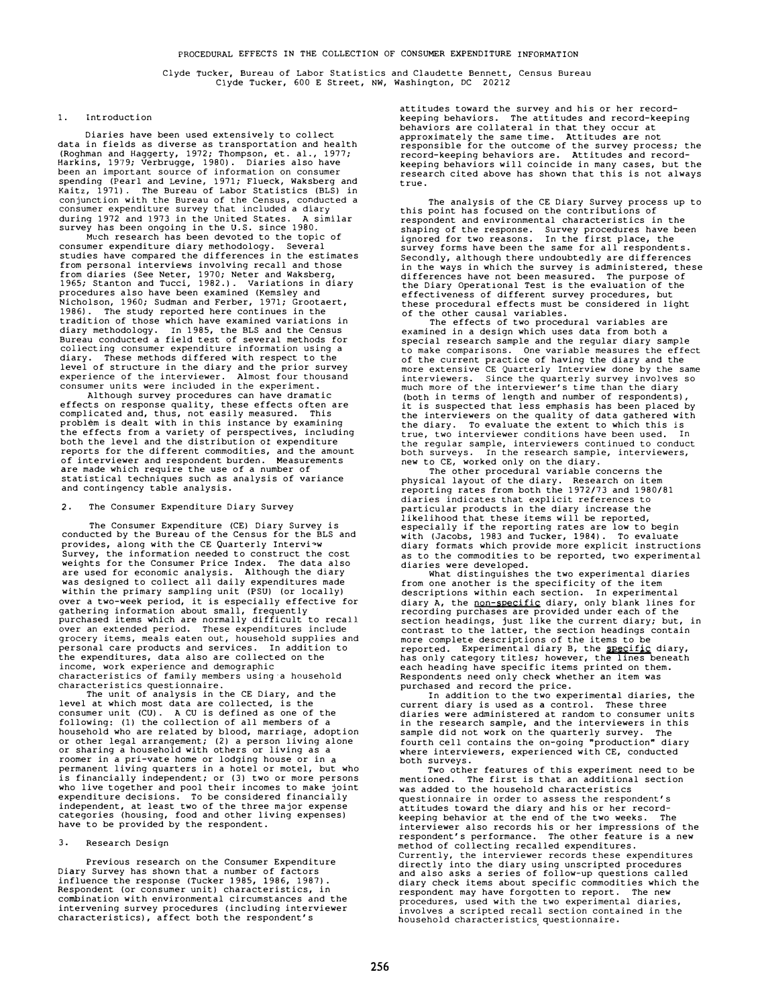**Clyde Tucker, Bureau of Labor Statistics and Claudette Bennett, Census Bureau**  Clyde Tucker, 600 E Street, **NW,** Washington, DC 20212

#### 1. Introduction

Diaries have been used extensively to collect data in fields as diverse as transportation and health (Roghman and Haggerty, 1972; Thompson, et. al., 1977; Harkins, 1979; Verbrugge, 1980). Diaries also have **been an important source of information on consumer**  spending (Pearl and Levine, 1971; Flueck, Waksberg and Kaitz, 1971). The Bureau of Labor Statistics (BLS) in conjunction with the Bureau of the Census, conducted a consumer expenditure survey that included a diary **.** during 1972 and 1973 in the United States. A similar

survey has been ongoing in the U.S. since 1980.<br>Much research has been devoted to the topic of consumer expenditure diary methodology. Several studies have compared the differences in the estimates from personal interviews involving recall and those from diaries (See Neter, 1970; Neter and Waksberg, 1965; Stanton and Tucci, 1982.). Variations in diary procedures also have been examined (Kemsley and Nicholson, 1960; Sudman and Ferber, 1971; Grootaert, 1986). The study reported here continues in the The study reported here continues in the tradition of those which have examined variations in diary methodology. In 1985, the BLS and the Census Bureau conducted a field test of several methods for **collecting consumer expenditure information using a**  diary. These methods differed with respect to the level of structure in the diary and the prior survey **experience of the interviewer. Almost four thousand consumer units were included in the experiment.** 

Although survey procedures can have dramatic effects on response quality, these effects often are complicated and, thus, not easily measured. This problem is dealt with in this instance by examining the effects from a variety of perspectives, including both the level and the distribution ot expenditure reports for the different commodities, and the amount of interviewer and respondent burden. Measurements are made which require the use of a number of statistical techniques such as analysis of variance and contingency table analysis.

### 2. The Consumer Expenditure Diary Survey

The Consumer Expenditure (CE) Diary Survey is conducted by the Bureau of the Census for the BLS and provides, along with the CE Quarterly Interview survey, the information needed to construct the cost weights for the Consumer Price Index. The data also<br>are used for economic analysis. Although the diary<br>was designed to collect all daily expenditures made<br>within the primary sampling unit (PSU) (or locally) over a two-week period, it *is* especially effective for gathering information about small, frequently purchased items which are normally difficult to recall **over an extended period. These expenditures include grocery items, meals eaten out, household supplies and**  personal care products and services. In addition to .<br>the expenditures, data also are collected on the **income, work experience and demographic characteristics of family members using·a household characteristics questionnaire.** 

The unit of analysis in the CE Diary, and the level at which most data are collected, is the consumer unit (CU). A CU is defined as one of the following: (1) the collection of all members of a household who are related by blood, marriage, adoption or other legal arrangement; (2) a person living alone or sharing a household with others or living as a roomer in a pri-vate home or lodging house or in a permanent living quarters in a hotel or motel, but who is financially independent; or (3) two or more persons who live together and pool their incomes to make joint expenditure decisions. To be considered financially independent, at least two of the three major expense categories (housing, food and other living expenses) have to be provided by the respondent.

### 3. Research Design

Previous research on the Consumer Expenditure Diary Survey has shown that a number of factors influence the response (Tucker 1985, 1986, 1987). Respondent (or consumer unit) characteristics, in combination with environmental circumstances and the intervening survey procedures (including interviewer characteristics), affect both the respondent's

attitudes toward the survey and his or her record-keeping behaviors. The attitudes and record-keeping behaviors are collateral in that they occur at approximately the same time. Attitudes are not responsible for the outcome of the survey process; the record-keeping behaviors are. Attitudes and recordkeeping behaviors will coincide in many cases, but the research cited above has shown that this is not always true.

The analysis of the CE Diary Survey process up to this point has focused on the contributions of respondent and environmental characteristics in the shaping of the response. Survey procedures have been ignored for two reasons. In the first place, the survey forms have been the same for all respondents. Secondly, although there undoubtedly are differences in the ways in which the survey is administered, these differences have not been measured. The purpose of the Diary Operational Test is the evaluation of the effectiveness of different survey procedures, but these procedural effects must be considered in light of the other causal variables.

The effects of two procedural variables are examined in a design which uses data from both a special research sample and the regular diary sample **to make comparisons. One variable measures the effect**  of the current practice of having the diary and the **more extensive CE Quarterly Interview done by the same interviewers. Since the quarterly survey involves so much more of the interviewer's time than the diary**  (both in terms of length and number of respondents), it is suspected that less emphasis has been placed by the interviewers on the quality of data gathered with the diary. To evaluate the extent to which this is **true, two interviewer conditions have been used. In the regular sample, interviewers continued to conduct both surveys. In the research sample, interviewers,** 

new to CE, worked only on the diary. The other procedural variable concerns the physical layout of the diary. Research on item reporting rates from both the 1972/73 and 1980/81 **diaries indicates that explicit references to**  particular products in the diary increase the likelihood that these items will be reported, especially if the reporting rates are low to begin with (Jacobs, 1983 and Tucker, 1984). To evaluate diary formats which provide more explicit instructions as to the commodities to be reported, two experimental diaries were developed.

What distinguishes the two experimental diaries from one another is the specificity of the item descriptions within each section. In experimental diary A, the <u>non-specific</u> diary, only blank lines for<br>recording purchases are provided under each of the<br>section headings, just like the current diary; but, in contrast to the latter, the section headings contain<br>more complete descriptions of the items to be<br>reported. Experimental diary B, the <u>specific</u> diary, has only category titles; however, the lines beneath each heading have specific items printed on them. Respondents need only check whether an item was

purchased and record the price. In addition to the two experimental diaries, the current diary is used as a control. These three diaries were administered at random to consumer units in the research sample, and the interviewers in this sample did not work on the quarterly survey. The fourth cell contains the on-going "production" diary where interviewers, experienced with CE, conducted both surveys.

Two other features of this experiment need to be mentioned. The first is that an additional section was added to the household characteristics **questionnaire in order to assess the respondent's**  attitudes toward the diary and his or her recordkeeping behavior at the end of the two weeks. The interviewer also records his or her impressions of the respondent's performance. The other feature is a new method of collecting recalled expenditures. **Currently, the interviewer records these expenditures**  directly into the diary using unscripted procedures and also asks a series of follow-up questions called diary check items about specific commodities which the respondent may have forgotten to report. The new **procedures, used with the two experimental diaries, involves a scripted recall section contained in the household characteristics, questionnaire.**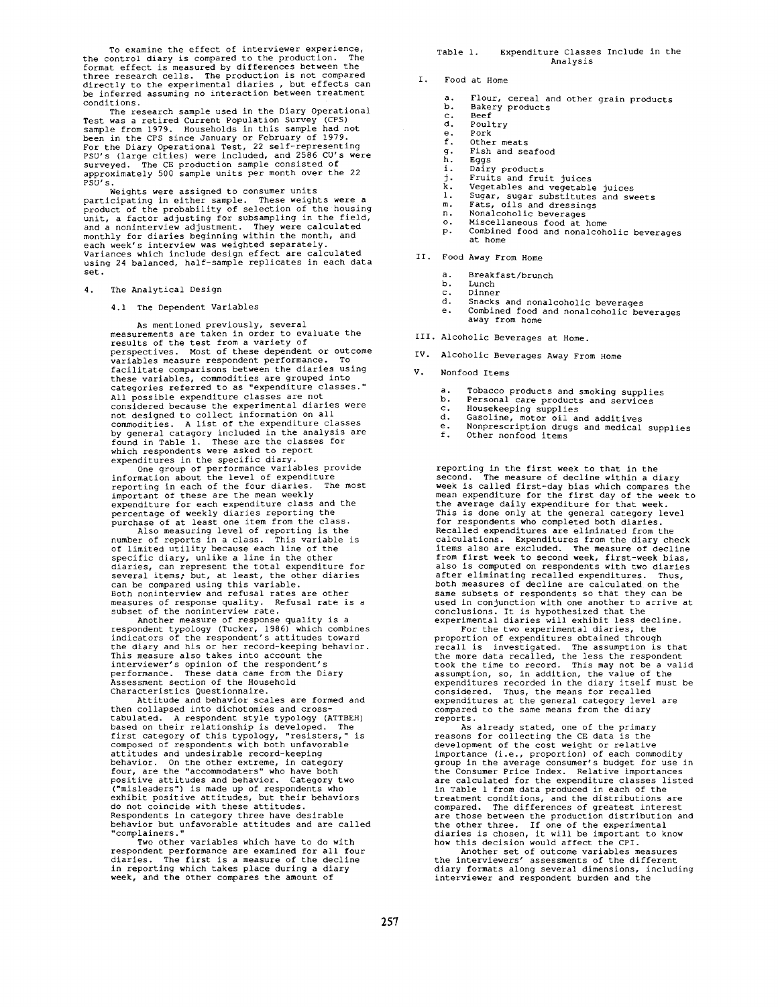To examine the effect of interviewer experience, the control diary is compared to the production. The format effect is measured by differences between the three research cells. The production is not compared directly to the experimental diaries , but effects can be inferred assuming no interaction between treatment

conditions.<br>The research sample used in the Diary Operational The research sample used in the Diary Operational<br>Test was a retired Current Population Survey (CPS)<br>sample from 1979. Households in this sample had not<br>been in the CPS since January or February of 1979.<br>For the Diary Oper PSU's.

Weights were assigned to consumer units participating in either sample. These weights were a product of the probability of selection of the housing unit, a factor adjusting for subsampling in the field, and a noninterview adjustment. They were calculated<br>monthly for diaries beginning within the month, and<br>each week's interview was weighted separately. Variances which include design effect are calculated using 24 balanced, half-sample replicates in each data set.

4. The Analytical Design

4.1 The Dependent Variables

As mentioned previously, several measurements are taken in order to evaluate the results of the test from a variety of perspectives. Most of these dependent or outcome variables measure respondent performance. To facilitate comparisons between the diaries using these variables, commodities are grouped into categories referred to as "expenditure classes."<br>All possible expenditure classes are not All possible expenditure classes are not<br>considered because the experimental diaries were<br>not designed to collect information on all<br>commodities. A list of the expenditure classes<br>by general catagory included in the analys

reporting in each of the four diaries. The most<br>important of these are the mean weekly<br>expenditure for each expenditure class and the<br>percentage of weekly diaries reporting the<br>purchase of at least one item from the class.

Also measuring level of reporting is the number of reports in a class. This variable is of limited utility because each line of the specific diary, unlike a line in the other diaries, can represent the total expenditure for<br>several items, but, at least, the other diaries<br>can be compared using this variable.<br>Both noninterview and refusal rates are other<br>measures of response quality. Refusal rate

subset of the noninterview rate. Another measure of response quality is a respondent typology (Tucker, 1986) which combines indicators of the respondent's attitudes toward the diary and his or her record-keeping behavior.<br>This measure also takes into account the<br>interviewer's opinion of the respondent's<br>performance. These data came from the Diary Assessment section of the Household

Characteristics Questionnaire. Attitude and behavior scales are formed and then collapsed into dichotomies and crosstabulated. A respondent style typology (ATTBEH) based on their relationship is developed. The first category of this typology, "resisters," is composed of respondents with both unfavorable attitudes and undesirable record-keeping<br>behavior. On the other extreme, in category<br>four, are the "accommodaters" who have both<br>positive attitudes and behavior. Category two<br>("misleaders") is made up of respondents who<br>ex Respondents in category three have desirable behavior but unfavorable attitudes and are called "complainers."

Two other variables which have to do with respondent performance are examined for all four diaries. The first is a measure of the decline in reporting which takes place during a diary week, and the other compares the amount of

Table I. Expenditure Classes Include in the Analysis

I. Food at Home

- a. Flour, cereal and other grain products<br>b. Bakery products
- Bakery products
- c. Beef<br>d Poul
- d. Poultry<br>e. Pork
- e. Pork<br>f. Other
- f. Other meats
- g. Fish and seafood
- h. Eggs
- n. 2992<br>i. Dairy products<br>j. Fruits and fruit juices
- 
- j. Fruits and fruit juices k. Vegetables and vegetable juices i. Sugar, sugar substitutes and sweets m. Fats, oils and dressings n. Nonalcoholic beverages o. Miscellaneous food at home
- 
- 
- p. Combined food and nonalcoholic beverages
- at home
- II. Food Away From Home
	- a. Breakfast/brunch<br>b. Lunch
	- b. Lunch<br>c. Dinne
	- c. Dinner<br>d. Snacks
	- d. Snacks and nonalcoholic beverages<br>e. Combined food and nonalcoholic be
	- Combined food and nonalcoholic beverages away from home
- III. Alcoholic Beverages at Home.
- IV. Alcoholic Beverages Away From Home
- V. Nonfood Items
	- a. Tobacco products and smoking supplies<br>b. Personal care products and sommings
	- b. Personal care products and services<br>c. Housekeeping supplies
	- c. Housekeeping supplies<br>d. Gasoline, motor oil an
	- d. Gasoline, motor oil and additives e. Nonprescription drugs and medical supplies
	- f. Other nonfood items

reporting in the first week to that in the second. The measure of decline within a diary week is called first-day bias which compares the<br>mean expenditure for the first day of the week to<br>the average daily expenditure for that week.<br>This is done only at the general category level<br>for respondents who completed from first week to second week, first-week bias, also is computed on respondents with two diaries after eliminating recalled expenditures. Thus, both measures of decline are calculated on the same subsets of respondents so that they can be used in conjunction with one another to arrive at conclusions. It is hypothesized that the experimental diaries will exhibit less decline. For the two experimental diaries, the

proportion of expenditures obtained through recall is investigated. The assumption is that<br>the more data recalled, the less the respondent<br>took the time to record. This may not be a valid<br>assumption, so, in addition, the value of the<br>expenditures recorded in the dia reports.

As already stated, one of the primary reasons for collecting the CE data is the development of the cost weight or relative importance (i.e., proportion) of each commodity group in the average consumer's budget for use in<br>the Consumer Price Index. Relative importances<br>are calculated for the expenditure classes listed<br>in Table 1 from data produced in each of the<br>treatment conditions, and the

Another set of outcome variables measures the interviewers' assessments of the different diary formats along several dimensions, including interviewer and respondent burden and the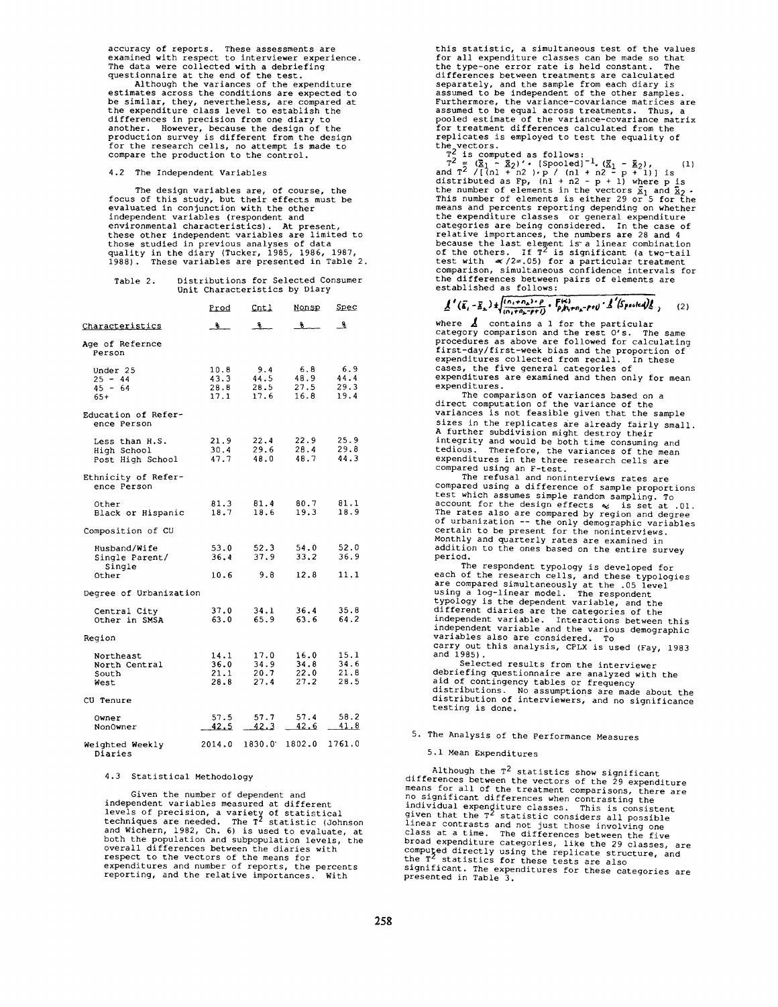accuracy of reports. These assessments are examined with respect to interviewer experience. The data were collected with a debriefing

questionnaire at the end of the test. Although the variances of the expenditure estimates across the conditions are expected to be similar, they, nevertheless, are compared at the expenditure class level to establish the differences in precision from one diary to another. However, because the design of the production survey is different from the design for the research cells, no attempt is made to compare the production to the control.

4.2 The Independent Variables

The design variables are, of course, the focus of this study, but their effects must be evaluated in conjunction with the other independent variables (respondent and environmental characteristics). At present,<br>these other independent variables are limited to<br>those studied in previous analyses of data quality in the diary (Tucker, 1985, 1986, 1987, 1988). These variables are presented in Table 2.

| Table 2. |  |                               |  | Distributions for Selected Consumer |  |
|----------|--|-------------------------------|--|-------------------------------------|--|
|          |  | Unit Characteristics by Diary |  |                                     |  |

|                                                   | <u>Prod</u>                  | <u>Cntl</u>                  | Nonsp                        | <u>Spec</u>                  |
|---------------------------------------------------|------------------------------|------------------------------|------------------------------|------------------------------|
| Characteristics                                   | _ზ ⊥                         | ி≗                           | . क                          | - જુ                         |
| Age of Refernce<br>Person                         |                              |                              |                              |                              |
| Under 25<br>$25 - 44$<br>$45 - 64$<br>$65+$       | 10.8<br>43.3<br>28.8<br>17.1 | 9.4<br>44.5<br>28.5<br>17.6  | 6.8<br>48.9<br>27.5<br>16.8  | 6.9<br>44.4<br>29.3<br>19.4  |
| Education of Refer-<br>ence Person                |                              |                              |                              |                              |
| Less than H.S.<br>High School<br>Post High School | 21.9<br>30.4<br>47.7         | 22.4<br>29.6<br>48.0         | 22.9<br>28.4<br>48.7         | 25.9<br>29.8<br>44.3         |
| Ethnicity of Refer-<br>ence Person                |                              |                              |                              |                              |
| Other<br>Black or Hispanic                        | 81.3<br>18.7                 | 81.4<br>18.6                 | 80.7<br>19.3                 | 81.1<br>18.9                 |
| Composition of CU                                 |                              |                              |                              |                              |
| Husband/Wife<br>Single Parent/<br>Single          | 53.0<br>36.4                 | 52.3<br>37.9                 | 54.0<br>33.2                 | 52.0<br>36.9                 |
| Other                                             | 10.6                         | 9.8                          | 12.8                         | 11.1                         |
| Degree of Urbanization                            |                              |                              |                              |                              |
| Central City<br>Other in SMSA                     | 37.0<br>63.0                 | 34.1<br>65.9                 | 36.4<br>63.6                 | 35.8<br>64.2                 |
| Region                                            |                              |                              |                              |                              |
| Northeast<br>North Central<br>South<br>West       | 14.1<br>36.0<br>21.1<br>28.8 | 17.0<br>34.9<br>20.7<br>27.4 | 16.0<br>34.8<br>22.0<br>27.2 | 15.1<br>34.6<br>21.8<br>28.5 |
| CU Tenure                                         |                              |                              |                              |                              |
| Owner<br>Non0wner                                 | 57.5<br>42.5                 | 57.7<br>42.3                 | 57.4<br>42.6                 | 58.2<br>41.8                 |
| Weighted Weekly<br>Diaries                        |                              | 2014.0 1830.0 1802.0         |                              | 1761.0                       |

4.3 Statistical Methodology

Given the number of dependent and independent variables measured at different levels of precision, a variety of statistical techniques are needed. The T z statistic (Johnson and Wichern, 1982, Ch. 6) is used to evaluate, at both the population and subpopulation levels, the<br>overall differences between the diaries with<br>respect to the vectors of the means for<br>expenditures and number of reports, the percents<br>reporting, and the relative importance this statistic, a simultaneous test of the values for all expenditure classes can be made so that the type-one error rate is held constant. The differences between treatments are calculated separately, and the sample from each diary is assumed to be independent of the other samples. Furthermore, the variance-covariance matrices are assumed to be equal across treatments. Thus, a pooled estimate of the variance-covariance matrix for treatment differences calculated from the<br>replicates is employed to test the equality of

replicates is employed to test the equality of<br>the vectors.<br> $T^2$  is computed as follows:<br> $T^2 = (\underline{\tilde{x}}_1 - \underline{\tilde{x}}_2)' \cdot (\text{Spooled}]^{-1} \cdot (\underline{\tilde{x}}_1 - \underline{\tilde{x}}_2)$ , (1)<br>and  $T^2 / [(nl + n2) \cdot p / (nl + n2 - p + 1)]$  is<br>distributed as Fp,  $(nl + n2 - p +$ means and percents reporting depending on whether the expenditure classes or general expenditure categories are being considered. In the case of relative importances, the numbers are 28 and 4 because the last element is a linear combination<br>of the others. If T<sup>2</sup> is significant (a two-tail<br>test with  $\ll/2=0.05$  for a particular treatment<br>comparison, simultaneous confidence intervals for the differences between pairs of elements are established as follows:

 $\underline{A}^{\;\prime}\left(\overline{\mathbf{g}}_{i}-\overline{\mathbf{g}}_{\mathbf{x}}\right)\pm\begin{cases} \frac{\left(\alpha_{i}+\alpha_{\mathbf{x}}\right)+\rho}{\left(\alpha_{i}+\alpha_{\mathbf{x}}+\rho+\rho\right)}\cdot\frac{\overline{\mathbf{F}}^{\left(\alpha\right)}}{\rho_{i}\mu_{i}+\alpha_{\mathbf{x}}-\rho+\rho} \cdot\frac{\rho}{\Delta}\left(\overline{\mathbf{S}}^{\mathrm{patch}}\mathbf{g}\right)\underline{\mathbf{g}}_{i}}\end{cases},$  $(2)$ 

where  $\Delta$  contains a 1 for the particular<br>category comparison and the rest O's. The same<br>procedures as above are followed for calculating<br>first-day/first-week bias and the proportion of expenditures collected from recall. In these cases, the five general categories of expenditures are examined and then only for mean expenditures.

The comparison of variances based on a direct computation of the variance of the variances is not feasible given that the sample sizes in the replicates are already fairly small. A further subdivision might destroy their integrity and would be both time consuming and tedious. Therefore, the variances of the mean expenditures in the three research cells are compared using an F-test.

The refusal and noninterviews rates are compared using a difference of sample proportions test which assumes simple random sampling. To<br>account for the design effects  $\llap{\quad \omega \leqslant \pm 0.01}$ .<br>The rates also are compared by region and degree<br>of urbanization -- the only demographic variables certain to be present for the noninterviews. Monthly and quarterly rates are examined in addition to the ones based on the entire survey period.<br>The respondent typology is developed for

The respondent typology is developed for<br>each of the research cells, and these typologies<br>are compared simultaneously at the .05 level<br>using a log-linear model. The respondent<br>typology is the dependent variable, and the<br>di independent variable and the various demographic<br>variables also are considered. To variables also are considered. carry out this analysis, CPLX is used (Fay, 1983 and 1985).<br>Selected results from the interviewer

Selected results from the interviewer<br>debriefing questionnaire are analyzed with the<br>aid of contingency tables or frequency<br>distributions. No assumptions are made about the<br>distribution of interviewers, and no significance

# 5. The Analysis of the Performance Measures

### 5.1 Mean Expenditures

Although the  $T^2$  statistics show significant differences between the vectors of the 29 expenditure<br>means for all of the treatment comparisons, there are means for all of the treatment comparisons, there are<br>no significant differences when contrasting the<br>individual expenditure classes. This is consistent<br>given that the T<sup>2</sup> statistic considers all possible<br>linear contrasts computed directly using the replicate structure, and<br>the T<sup>2</sup> statistics for these tests are also<br>significant. The expenditures for these categories are presented in Table 3.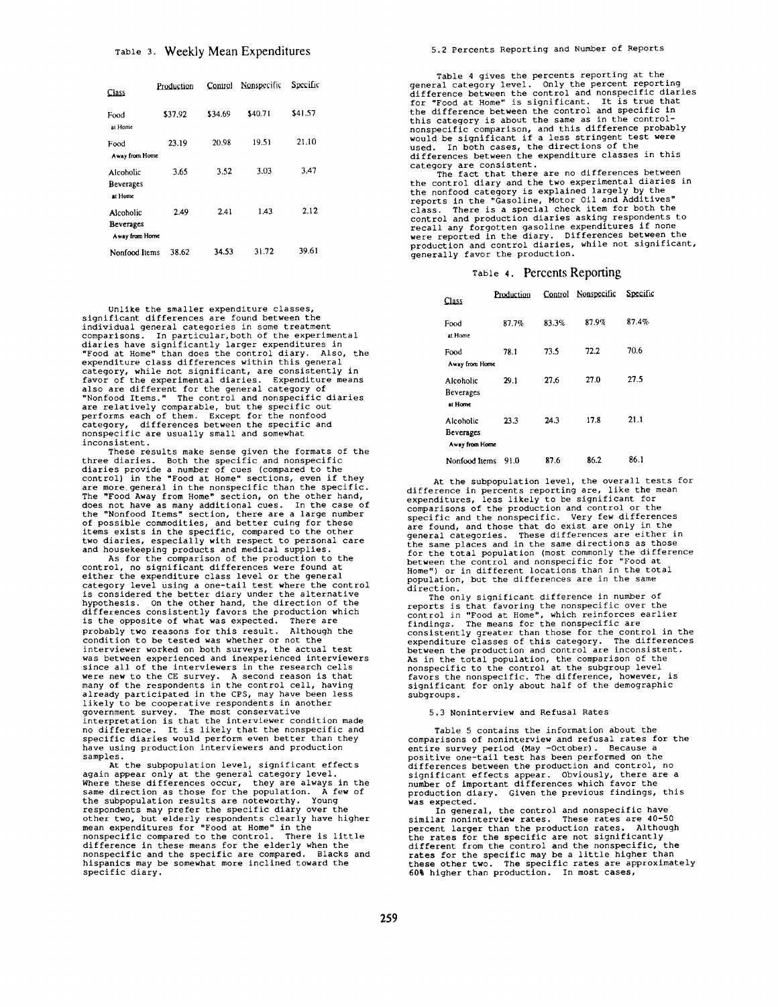| Class                                    | Production | Control | Nonspecific | Specific |
|------------------------------------------|------------|---------|-------------|----------|
| Food<br>at Home                          | \$37.92    | \$34.69 | \$40.71     | \$41.57  |
| Food<br>Away from Home                   | 23.19      | 20.98   | 19.51       | 21.10    |
| Alcoholic<br><b>Beverages</b><br>at Home | 3.65       | 3.52    | 3.03        | 3.47     |
| Alcoholic<br>Beverages<br>Away from Home | 2.49       | 2.41    | 1.43        | 2.12     |
| Nonfood Items                            | 38.62      | 34.53   | 31.72       | 39.61    |

Unlike the smaller expenditure classes, significant differences are found between the individual general categories in some treatment comparisons. In particular,both of the experimental diaries have significantly larger expenditures in "Food at Home" than does the control diary. Also, the expenditure class differences within this general category, while not significant, are consistently in favor of the experimental diaries. Expenditure means also are different for the general category of "Nonfood Items." The control and nonspecific diaries are relatively comparable, but the specific out performs each of them. Except for the nonfood category, differences between the specific and nonspecific are usually small and somewhat inconsistent.

These results make sense given the formats of the three diaries. Both the specific and nonspecific diaries provide a number of cues (compared to the control) in the "Food at Home" sections, even if they are more. general in the nonspecific than the specific. The "Food Away from Home" section, on the other hand,<br>does not have as many additional cues. In the case of<br>the "Nonfood Items" section, there are a large number<br>of possible commodities, and better cuing for these items exists in the specific, compared to the other

two diaries, especially with respect to personal care and housekeeping products and medical supplies. As for the comparison of the production to the control, no significant differences were found at either the expenditure class level or the general category level using a one-tail test where the control is considered the better diary under the alternative hypothesis. On the other hand, the direction of the differences consistently favors the production which is the opposite of what was expected. There are probably two reasons for this result. Although the condition to be tested was whether or not the interviewer worked on both surveys, the actual test was between experienced and inexperienced interviewers since all of the interviewers in the research cells were new to the CE survey. A second reason is that<br>many of the respondents in the control cell, having many of the respondents in the control cell, having<br>already participated in the CPS, may have been less<br>likely to be cooperative respondents in another<br>government survey. The most conservative<br>interpretation is that the in samples.

At the subpopulation level, significant effects again appear only at the general category level. Where these differences occur, they are always in the same direction as those for the population. A few of the subpopulation results are noteworthy. Young respondents may prefer the specific diary over the other two, but elderly respondents clearly have higher mean expenditures for "Food at Home" in the nonspecific compared to the control. There is little difference in these means for the elderly when the nonspecific and the specific are compared. Blacks and hispanics may be somewhat more inclined toward the specific diary.

Table 4 gives the percents reporting at the general category level. Only the percent reporting<br>difference between the control and nonspecific diaries<br>for "Food at Home" is significant. It is true that<br>the difference between the control and specific in<br>this category nonspecific comparison, and this difference probably would be significant if a less stringent test were used. In both cases, the directions of the differences between the expenditure classes in this category are consistent. The fact that there are no differences between

the control diary and the two experimental diaries in the nonfood category is explained largely by the reports in the "Gasoline, Motor Oil and Additives" class. There is a special check item for both the control and production diaries asking respondents to<br>recall any forgotten gasoline expenditures if none<br>were reported in the diary. Differences between the<br>production and control diaries, while not significant,<br>generally f

### Table **4.** Percents Reponing

| Class                                    | Production | Control | Nonspecific | Specific |
|------------------------------------------|------------|---------|-------------|----------|
| Food<br>at Home                          | 87.7%      | 83.3%   | 87.9%       | 87.4%    |
| Food<br>Away from Home                   | 78.1       | 73.5    | 72.2        | 70.6     |
| Alcoholic<br>Beverages<br>at Home        | 29.1       | 27.6    | 27.0        | 27.5     |
| Alcoholic<br>Beverages<br>Away from Home | 23.3       | 24.3    | 17.8        | 21.1     |
| Nonfood Items                            | 91.0       | 87.6    | 86.2        | 86.1     |

At the subpopulation level, the overall tests for difference in percents reporting are, like the mean expenditures, less likely to be significant for<br>comparisons of the production and control or the<br>specific and the nonspecific. Very few differences<br>are found, and those that do exist are only in the<br>general categories. The for the total population (most commonly the difference<br>between the control and nonspecific for "Food at<br>Home") or in different locations than in the total<br>population, but the differences are in the same

direction.<br>The only significant difference in number of<br>reports is that favoring the nonspecific over the<br>control in "Food at Home", which reinforces earlier<br>findings. The means for the nonspecific are<br>consistently greater As in the total population, the comparison of the nonspecific to the control at the subgroup level favors the nonspecific. The difference, however, is significant for only about half of the demographic subgroups.

### 5.3 Noninterview and Refusal Rates

Table 5 contains the information about the comparisons of noninterview and refusal rates for the entire survey period (May -October). Because a positive one-tail test has been performed on the differences between the production and control, no significant effects appear. Obviously, there are a<br>number of important differences which favor the<br>production diary. Given the previous findings, this .<br>was expected.

In general, the control and nonspecific have similar noninterview rates. These rates are 40-50 percent larger than the production rates. Although the rates for the specific are not significantly different from the control and the nonspecific, the rates for the specific may be a little higher than these other two. The specific rates are approximately 60% higher than production. In most cases,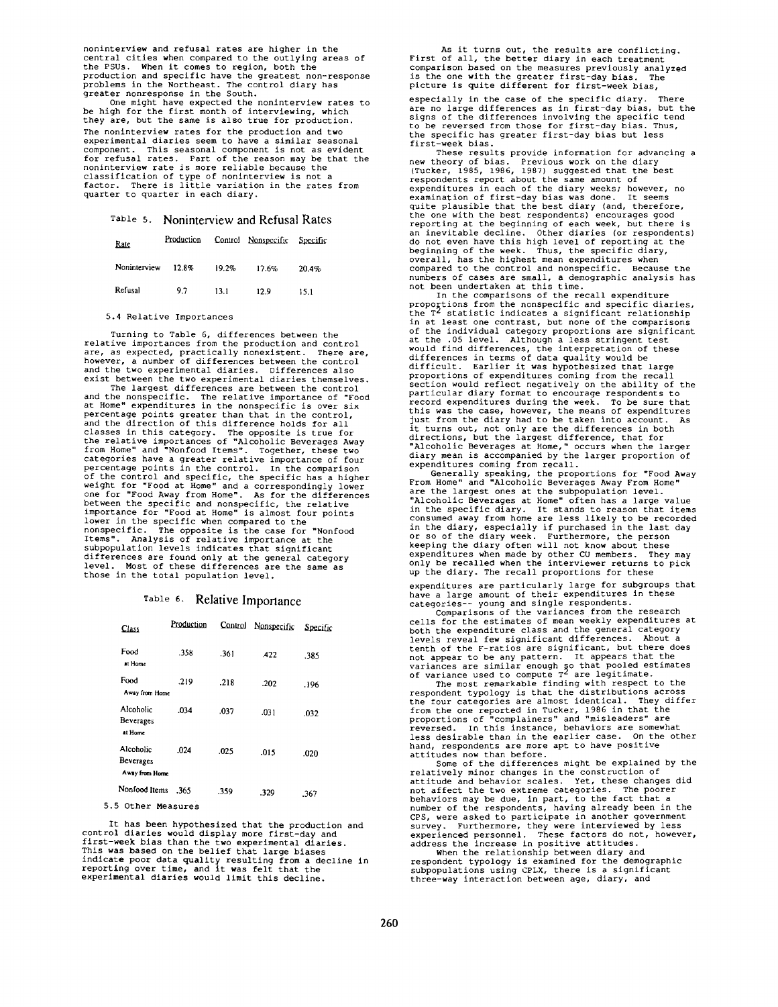noninterview and refusal rates are higher in the central cities when compared to the outlying areas of the PSUs. When it comes to region, both the production and specific have the greatest non-response problems in the Northeast. The control diary has greater nonresponse in the South.

One might have expected the noninterview rates to be high for the first month of interviewing, which they are, but the same is also true for production. The noninterview rates for the production and two experimental diaries seem to have a similar seasonal component. This seasonal component is not as evident for refusal rates. Part of the reason may be that the nonlnterview rate is *more* reliable because the classification of type of noninterview is not a factor. There is little variation in the rates from quarter to quarter in each diary.

# Table 5. Noninterview and Refusal Rates

| Rate         | Production |       | Control Nonspecific Specific |       |
|--------------|------------|-------|------------------------------|-------|
| Noninterview | 12.8%      | 19.2% | 17.6%                        | 20.4% |
| Refusal      | 9.7        | 13.1  | 12.9                         | 15.1  |

#### 5.4 Relative Importances

Turning to Table 6, differences between the relative importances from the *production* and control are, as expected, practically nonexistent. There are,<br>however, a number of differences between the control<br>and the two experimental diaries. Differences also<br>exist between the two experimental diaries themselves.

The largest differences are between the control and the nonspecific. The relative importance of "Food<br>at Home" expenditures in the nonspecific is over six<br>percentage points greater than that in the control, and the direction of this difference holds for all classes in this category. The opposite is true for<br>the relative importances of "Alcoholic Beverages Away<br>from Home" and "Nonfood Items". Together, these two<br>categories have a greater relative importance of four<br>percentage of the control and specific, the specific has a higher<br>weight for "Food at Home" and a correspondingly lower<br>one for "Food Away from Home". As for the differences<br>between the specific and nonspecific, the relative<br>importan nonspecific. The opposite is the case for "Nonfood<br>Items". Analysis of relative importance at the<br>subpopulation levels indicates that significant differences are found only at the general category level. Most of these differences are the same as those in the total population level.

## Table **6. Relative** Importance

| Class                                           | Production | Control | Nonspecific | Specific |
|-------------------------------------------------|------------|---------|-------------|----------|
| Food<br>at Home                                 | .358       | .361    | .422        | .385     |
| Food<br>Away from Home                          | .219       | .218    | .202        | .196     |
| Alcoholic<br><b>Beverages</b><br>at Home        | .034       | .037    | .031        | .032     |
| Alcoholic<br><b>Beverages</b><br>Away from Home | .024       | .025    | .015        | .020     |
| Nonfood Items                                   | .365       | .359    | .329        | .367     |

5.5 Other Measures

It has been hypothesized that the production and control diaries would display more first-day and first-week bias than the two experimental diaries.<br>This was based on the belief that large biases<br>indicate poor data quality resulting from a decline in<br>reporting over time, and it was felt that the<br>experimental diaries wo

As it turns out, the results are conflicting. First of all, the better diary in each treatment comparison based on the measures previously analyzed<br>is the one with the greater first-day bias. The is the one with the greater first-day bias. The picture is quite different for first-week bias,

especially in the case of the specific diary. There are no large differences as in first-day bias, but the<br>signs of the differences involving the specific tend<br>to be reversed from those for first-day bias. Thus, the specific has greater first-day bias but less first-week bias.

These results provide information for advancing a new theory of bias. Previous work on the diary (Tucker, 1985, 1986, 1987) suggested that the best respondents report about the same amount of expenditures in each of the diary weeks; however, no<br>examination of first-day bias was done. It seems<br>quite plausible that the best diary (and, therefore,<br>the one with the best respondents) encourages good<br>reporting at the an inevitable decline. Other diaries (or respondents) do not even have this high level of reporting at the beginning of the week. Thus, the specific diary, overall, has the highest mean expenditures when compared to the control and nonspecific. Because the numbers of cases are small, a demographic analysis has not been undertaken at this time.

In the comparisons of the recall expenditure proportions from the nonspecific and specific diaries, the T<sup>2</sup> statistic indicates a significant relationship<br>in at least one contrast, but none of the comparisons<br>of the individual category proportions are significant<br>at the .05 level. Although a less stringent test<br>would fi proportions of expenditures coming from the recall section would reflect negatively on the ability of the particular diary format to encourage respondents to record expenditures during the week. To be sure that this was the case, however, the means of expenditures just from the diary had to be taken into account. As it turns out, not only are the differences in both<br>directions, but the largest difference, that for<br>"Alcoholic Beverages at Home," occurs when the larger<br>diary mean is accompanied by the larger proportion of expenditures coming from recall.

Generally speaking, the proportions for "Food Away From Home" and "Alcoholic Beverages Away From Home" are the largest ones at the subpopulation level. "Alcoholic Beverages at Home" often has a large value in the specific diary. It stands to reason that items consumed away from home are less likely to be recorded<br>in the diary, especially if purchased in the last day<br>or so of the diary week. Furthermore, the person<br>keeping the diary often will not know about these<br>expenditures w up the diary. The recall proportions for these

expenditures are particularly large for subgroups that have a large amount of their expenditures in these categories-- young and single respondents.

Comparisons of the variances from the research cells for the estimates of mean weekly expenditures at both the expenditure class and the general category levels reveal few significant differences. About a tenth of the F-ratios are significant, but there does not appear to be any pattern. It appears that the

variances are similar enough so that pooled estimates<br>of variance used to compute  $T^2$  are legitimate.<br>The most remarkable finding with respect to the<br>respondent typology is that the distributions across<br>the four categori less desirable than in the earlier case. On the other hand, respondents are more apt to have positive attitudes now than before.

Some of the differences might be explained by the relatively minor changes in the construction of attitude and behavior scales. Yet, these changes did not affect the two extreme categories. The poorer behaviors may be due, in part, to the fact that a number of the respondents, having already been in the CPS, were asked to participate in another government survey. Furthermore, they were interviewed by less experienced personnel. These factors do not, however, address the increase in positive attitudes.

When the relationship between diary and respondent typology is examined for the demographic subpopulations using CPLX, there is a significant three-way interaction between age, diary, and